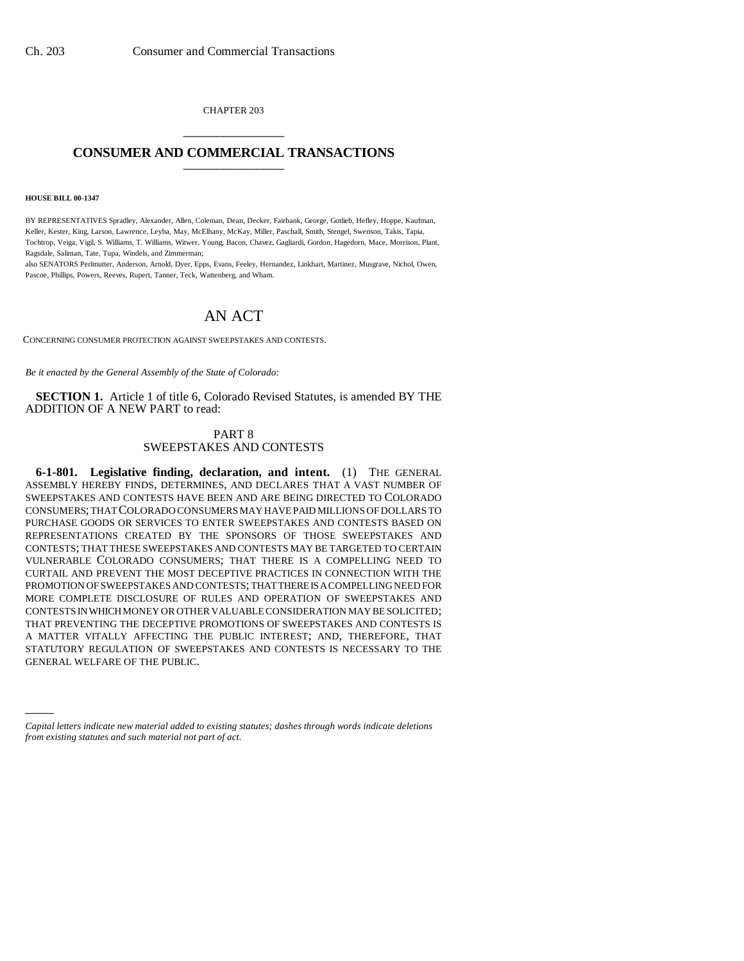CHAPTER 203 \_\_\_\_\_\_\_\_\_\_\_\_\_\_\_

## **CONSUMER AND COMMERCIAL TRANSACTIONS** \_\_\_\_\_\_\_\_\_\_\_\_\_\_\_

#### **HOUSE BILL 00-1347**

BY REPRESENTATIVES Spradley, Alexander, Allen, Coleman, Dean, Decker, Fairbank, George, Gotlieb, Hefley, Hoppe, Kaufman, Keller, Kester, King, Larson, Lawrence, Leyba, May, McElhany, McKay, Miller, Paschall, Smith, Stengel, Swenson, Takis, Tapia, Tochtrop, Veiga, Vigil, S. Williams, T. Williams, Witwer, Young, Bacon, Chavez, Gagliardi, Gordon, Hagedorn, Mace, Morrison, Plant, Ragsdale, Saliman, Tate, Tupa, Windels, and Zimmerman;

also SENATORS Perlmutter, Anderson, Arnold, Dyer, Epps, Evans, Feeley, Hernandez, Linkhart, Martinez, Musgrave, Nichol, Owen, Pascoe, Phillips, Powers, Reeves, Rupert, Tanner, Teck, Wattenberg, and Wham.

# AN ACT

CONCERNING CONSUMER PROTECTION AGAINST SWEEPSTAKES AND CONTESTS.

*Be it enacted by the General Assembly of the State of Colorado:*

**SECTION 1.** Article 1 of title 6, Colorado Revised Statutes, is amended BY THE ADDITION OF A NEW PART to read:

### PART 8 SWEEPSTAKES AND CONTESTS

GENERAL WELFARE OF THE PUBLIC.**6-1-801. Legislative finding, declaration, and intent.** (1) THE GENERAL ASSEMBLY HEREBY FINDS, DETERMINES, AND DECLARES THAT A VAST NUMBER OF SWEEPSTAKES AND CONTESTS HAVE BEEN AND ARE BEING DIRECTED TO COLORADO CONSUMERS; THAT COLORADO CONSUMERS MAY HAVE PAID MILLIONS OF DOLLARS TO PURCHASE GOODS OR SERVICES TO ENTER SWEEPSTAKES AND CONTESTS BASED ON REPRESENTATIONS CREATED BY THE SPONSORS OF THOSE SWEEPSTAKES AND CONTESTS; THAT THESE SWEEPSTAKES AND CONTESTS MAY BE TARGETED TO CERTAIN VULNERABLE COLORADO CONSUMERS; THAT THERE IS A COMPELLING NEED TO CURTAIL AND PREVENT THE MOST DECEPTIVE PRACTICES IN CONNECTION WITH THE PROMOTION OF SWEEPSTAKES AND CONTESTS; THAT THERE IS A COMPELLING NEED FOR MORE COMPLETE DISCLOSURE OF RULES AND OPERATION OF SWEEPSTAKES AND CONTESTS IN WHICH MONEY OR OTHER VALUABLE CONSIDERATION MAY BE SOLICITED; THAT PREVENTING THE DECEPTIVE PROMOTIONS OF SWEEPSTAKES AND CONTESTS IS A MATTER VITALLY AFFECTING THE PUBLIC INTEREST; AND, THEREFORE, THAT STATUTORY REGULATION OF SWEEPSTAKES AND CONTESTS IS NECESSARY TO THE

*Capital letters indicate new material added to existing statutes; dashes through words indicate deletions from existing statutes and such material not part of act.*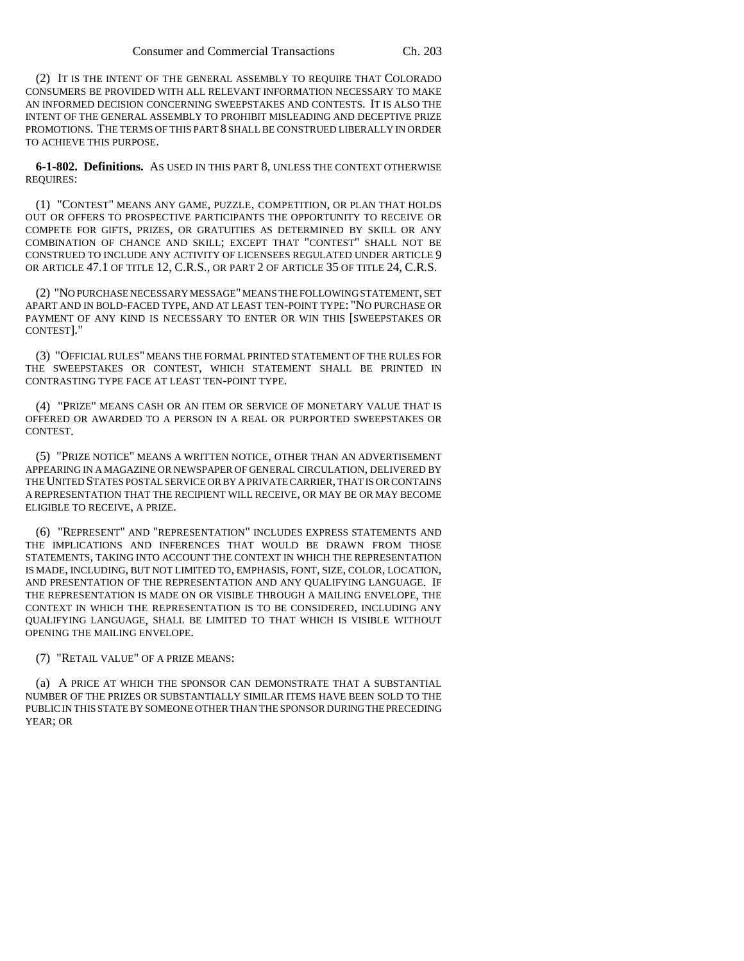(2) IT IS THE INTENT OF THE GENERAL ASSEMBLY TO REQUIRE THAT COLORADO CONSUMERS BE PROVIDED WITH ALL RELEVANT INFORMATION NECESSARY TO MAKE AN INFORMED DECISION CONCERNING SWEEPSTAKES AND CONTESTS. IT IS ALSO THE INTENT OF THE GENERAL ASSEMBLY TO PROHIBIT MISLEADING AND DECEPTIVE PRIZE PROMOTIONS. THE TERMS OF THIS PART 8 SHALL BE CONSTRUED LIBERALLY IN ORDER TO ACHIEVE THIS PURPOSE.

**6-1-802. Definitions.** AS USED IN THIS PART 8, UNLESS THE CONTEXT OTHERWISE REQUIRES:

(1) "CONTEST" MEANS ANY GAME, PUZZLE, COMPETITION, OR PLAN THAT HOLDS OUT OR OFFERS TO PROSPECTIVE PARTICIPANTS THE OPPORTUNITY TO RECEIVE OR COMPETE FOR GIFTS, PRIZES, OR GRATUITIES AS DETERMINED BY SKILL OR ANY COMBINATION OF CHANCE AND SKILL; EXCEPT THAT "CONTEST" SHALL NOT BE CONSTRUED TO INCLUDE ANY ACTIVITY OF LICENSEES REGULATED UNDER ARTICLE 9 OR ARTICLE 47.1 OF TITLE 12, C.R.S., OR PART 2 OF ARTICLE 35 OF TITLE 24, C.R.S.

(2) "NO PURCHASE NECESSARY MESSAGE" MEANS THE FOLLOWING STATEMENT, SET APART AND IN BOLD-FACED TYPE, AND AT LEAST TEN-POINT TYPE: "NO PURCHASE OR PAYMENT OF ANY KIND IS NECESSARY TO ENTER OR WIN THIS [SWEEPSTAKES OR CONTEST]."

(3) "OFFICIAL RULES" MEANS THE FORMAL PRINTED STATEMENT OF THE RULES FOR THE SWEEPSTAKES OR CONTEST, WHICH STATEMENT SHALL BE PRINTED IN CONTRASTING TYPE FACE AT LEAST TEN-POINT TYPE.

(4) "PRIZE" MEANS CASH OR AN ITEM OR SERVICE OF MONETARY VALUE THAT IS OFFERED OR AWARDED TO A PERSON IN A REAL OR PURPORTED SWEEPSTAKES OR CONTEST.

(5) "PRIZE NOTICE" MEANS A WRITTEN NOTICE, OTHER THAN AN ADVERTISEMENT APPEARING IN A MAGAZINE OR NEWSPAPER OF GENERAL CIRCULATION, DELIVERED BY THE UNITED STATES POSTAL SERVICE OR BY A PRIVATE CARRIER, THAT IS OR CONTAINS A REPRESENTATION THAT THE RECIPIENT WILL RECEIVE, OR MAY BE OR MAY BECOME ELIGIBLE TO RECEIVE, A PRIZE.

(6) "REPRESENT" AND "REPRESENTATION" INCLUDES EXPRESS STATEMENTS AND THE IMPLICATIONS AND INFERENCES THAT WOULD BE DRAWN FROM THOSE STATEMENTS, TAKING INTO ACCOUNT THE CONTEXT IN WHICH THE REPRESENTATION IS MADE, INCLUDING, BUT NOT LIMITED TO, EMPHASIS, FONT, SIZE, COLOR, LOCATION, AND PRESENTATION OF THE REPRESENTATION AND ANY QUALIFYING LANGUAGE. IF THE REPRESENTATION IS MADE ON OR VISIBLE THROUGH A MAILING ENVELOPE, THE CONTEXT IN WHICH THE REPRESENTATION IS TO BE CONSIDERED, INCLUDING ANY QUALIFYING LANGUAGE, SHALL BE LIMITED TO THAT WHICH IS VISIBLE WITHOUT OPENING THE MAILING ENVELOPE.

(7) "RETAIL VALUE" OF A PRIZE MEANS:

(a) A PRICE AT WHICH THE SPONSOR CAN DEMONSTRATE THAT A SUBSTANTIAL NUMBER OF THE PRIZES OR SUBSTANTIALLY SIMILAR ITEMS HAVE BEEN SOLD TO THE PUBLIC IN THIS STATE BY SOMEONE OTHER THAN THE SPONSOR DURING THE PRECEDING YEAR; OR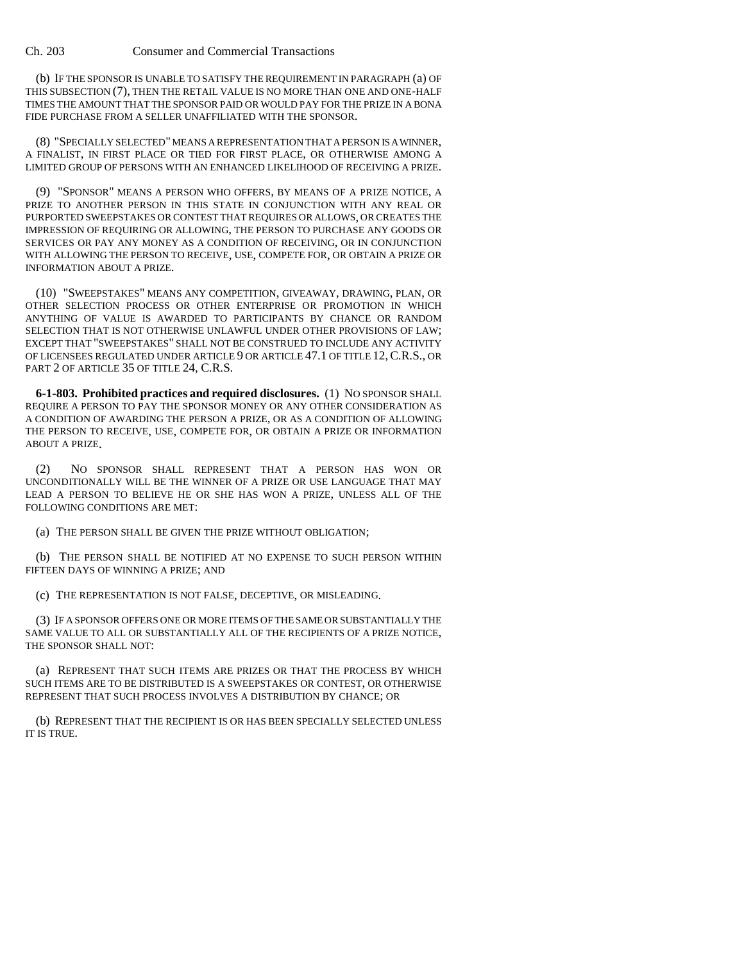### Ch. 203 Consumer and Commercial Transactions

(b) IF THE SPONSOR IS UNABLE TO SATISFY THE REQUIREMENT IN PARAGRAPH (a) OF THIS SUBSECTION (7), THEN THE RETAIL VALUE IS NO MORE THAN ONE AND ONE-HALF TIMES THE AMOUNT THAT THE SPONSOR PAID OR WOULD PAY FOR THE PRIZE IN A BONA FIDE PURCHASE FROM A SELLER UNAFFILIATED WITH THE SPONSOR.

(8) "SPECIALLY SELECTED" MEANS A REPRESENTATION THAT A PERSON IS A WINNER, A FINALIST, IN FIRST PLACE OR TIED FOR FIRST PLACE, OR OTHERWISE AMONG A LIMITED GROUP OF PERSONS WITH AN ENHANCED LIKELIHOOD OF RECEIVING A PRIZE.

(9) "SPONSOR" MEANS A PERSON WHO OFFERS, BY MEANS OF A PRIZE NOTICE, A PRIZE TO ANOTHER PERSON IN THIS STATE IN CONJUNCTION WITH ANY REAL OR PURPORTED SWEEPSTAKES OR CONTEST THAT REQUIRES OR ALLOWS, OR CREATES THE IMPRESSION OF REQUIRING OR ALLOWING, THE PERSON TO PURCHASE ANY GOODS OR SERVICES OR PAY ANY MONEY AS A CONDITION OF RECEIVING, OR IN CONJUNCTION WITH ALLOWING THE PERSON TO RECEIVE, USE, COMPETE FOR, OR OBTAIN A PRIZE OR INFORMATION ABOUT A PRIZE.

(10) "SWEEPSTAKES" MEANS ANY COMPETITION, GIVEAWAY, DRAWING, PLAN, OR OTHER SELECTION PROCESS OR OTHER ENTERPRISE OR PROMOTION IN WHICH ANYTHING OF VALUE IS AWARDED TO PARTICIPANTS BY CHANCE OR RANDOM SELECTION THAT IS NOT OTHERWISE UNLAWFUL UNDER OTHER PROVISIONS OF LAW; EXCEPT THAT "SWEEPSTAKES" SHALL NOT BE CONSTRUED TO INCLUDE ANY ACTIVITY OF LICENSEES REGULATED UNDER ARTICLE 9 OR ARTICLE 47.1 OF TITLE 12,C.R.S., OR PART 2 OF ARTICLE 35 OF TITLE 24, C.R.S.

**6-1-803. Prohibited practices and required disclosures.** (1) NO SPONSOR SHALL REQUIRE A PERSON TO PAY THE SPONSOR MONEY OR ANY OTHER CONSIDERATION AS A CONDITION OF AWARDING THE PERSON A PRIZE, OR AS A CONDITION OF ALLOWING THE PERSON TO RECEIVE, USE, COMPETE FOR, OR OBTAIN A PRIZE OR INFORMATION ABOUT A PRIZE.

(2) NO SPONSOR SHALL REPRESENT THAT A PERSON HAS WON OR UNCONDITIONALLY WILL BE THE WINNER OF A PRIZE OR USE LANGUAGE THAT MAY LEAD A PERSON TO BELIEVE HE OR SHE HAS WON A PRIZE, UNLESS ALL OF THE FOLLOWING CONDITIONS ARE MET:

(a) THE PERSON SHALL BE GIVEN THE PRIZE WITHOUT OBLIGATION;

(b) THE PERSON SHALL BE NOTIFIED AT NO EXPENSE TO SUCH PERSON WITHIN FIFTEEN DAYS OF WINNING A PRIZE; AND

(c) THE REPRESENTATION IS NOT FALSE, DECEPTIVE, OR MISLEADING.

(3) IF A SPONSOR OFFERS ONE OR MORE ITEMS OF THE SAME OR SUBSTANTIALLY THE SAME VALUE TO ALL OR SUBSTANTIALLY ALL OF THE RECIPIENTS OF A PRIZE NOTICE, THE SPONSOR SHALL NOT:

(a) REPRESENT THAT SUCH ITEMS ARE PRIZES OR THAT THE PROCESS BY WHICH SUCH ITEMS ARE TO BE DISTRIBUTED IS A SWEEPSTAKES OR CONTEST, OR OTHERWISE REPRESENT THAT SUCH PROCESS INVOLVES A DISTRIBUTION BY CHANCE; OR

(b) REPRESENT THAT THE RECIPIENT IS OR HAS BEEN SPECIALLY SELECTED UNLESS IT IS TRUE.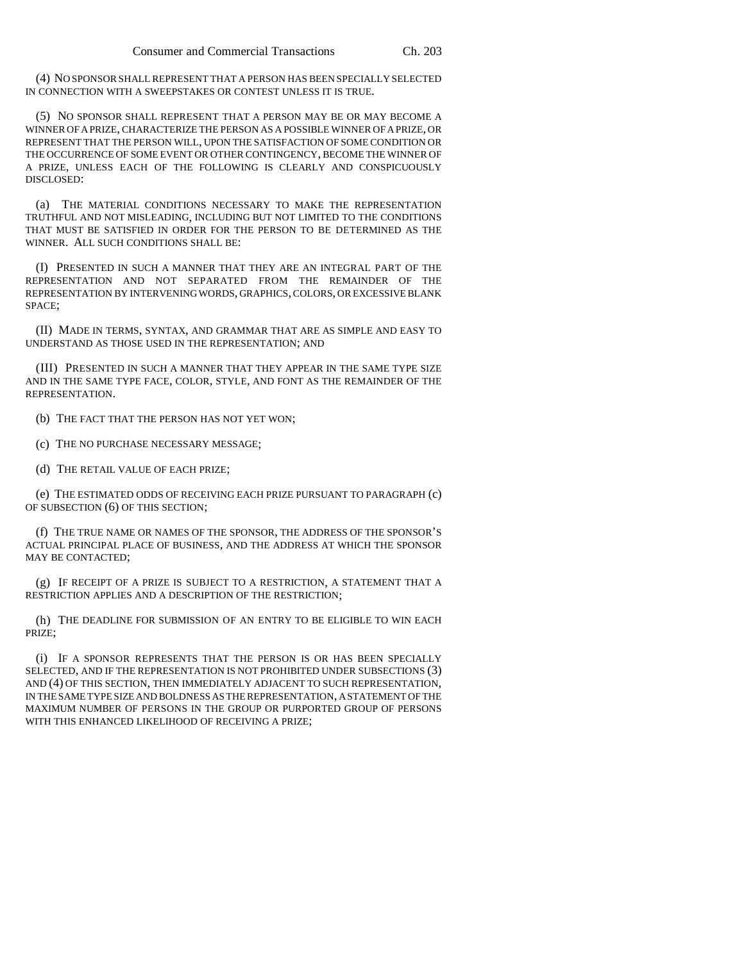(4) NO SPONSOR SHALL REPRESENT THAT A PERSON HAS BEEN SPECIALLY SELECTED IN CONNECTION WITH A SWEEPSTAKES OR CONTEST UNLESS IT IS TRUE.

(5) NO SPONSOR SHALL REPRESENT THAT A PERSON MAY BE OR MAY BECOME A WINNER OF A PRIZE, CHARACTERIZE THE PERSON AS A POSSIBLE WINNER OF A PRIZE, OR REPRESENT THAT THE PERSON WILL, UPON THE SATISFACTION OF SOME CONDITION OR THE OCCURRENCE OF SOME EVENT OR OTHER CONTINGENCY, BECOME THE WINNER OF A PRIZE, UNLESS EACH OF THE FOLLOWING IS CLEARLY AND CONSPICUOUSLY DISCLOSED:

(a) THE MATERIAL CONDITIONS NECESSARY TO MAKE THE REPRESENTATION TRUTHFUL AND NOT MISLEADING, INCLUDING BUT NOT LIMITED TO THE CONDITIONS THAT MUST BE SATISFIED IN ORDER FOR THE PERSON TO BE DETERMINED AS THE WINNER. ALL SUCH CONDITIONS SHALL BE:

(I) PRESENTED IN SUCH A MANNER THAT THEY ARE AN INTEGRAL PART OF THE REPRESENTATION AND NOT SEPARATED FROM THE REMAINDER OF THE REPRESENTATION BY INTERVENING WORDS, GRAPHICS, COLORS, OR EXCESSIVE BLANK SPACE;

(II) MADE IN TERMS, SYNTAX, AND GRAMMAR THAT ARE AS SIMPLE AND EASY TO UNDERSTAND AS THOSE USED IN THE REPRESENTATION; AND

(III) PRESENTED IN SUCH A MANNER THAT THEY APPEAR IN THE SAME TYPE SIZE AND IN THE SAME TYPE FACE, COLOR, STYLE, AND FONT AS THE REMAINDER OF THE REPRESENTATION.

(b) THE FACT THAT THE PERSON HAS NOT YET WON;

(c) THE NO PURCHASE NECESSARY MESSAGE;

(d) THE RETAIL VALUE OF EACH PRIZE;

(e) THE ESTIMATED ODDS OF RECEIVING EACH PRIZE PURSUANT TO PARAGRAPH (c) OF SUBSECTION (6) OF THIS SECTION;

(f) THE TRUE NAME OR NAMES OF THE SPONSOR, THE ADDRESS OF THE SPONSOR'S ACTUAL PRINCIPAL PLACE OF BUSINESS, AND THE ADDRESS AT WHICH THE SPONSOR MAY BE CONTACTED;

(g) IF RECEIPT OF A PRIZE IS SUBJECT TO A RESTRICTION, A STATEMENT THAT A RESTRICTION APPLIES AND A DESCRIPTION OF THE RESTRICTION;

(h) THE DEADLINE FOR SUBMISSION OF AN ENTRY TO BE ELIGIBLE TO WIN EACH PRIZE;

(i) IF A SPONSOR REPRESENTS THAT THE PERSON IS OR HAS BEEN SPECIALLY SELECTED, AND IF THE REPRESENTATION IS NOT PROHIBITED UNDER SUBSECTIONS (3) AND (4) OF THIS SECTION, THEN IMMEDIATELY ADJACENT TO SUCH REPRESENTATION, IN THE SAME TYPE SIZE AND BOLDNESS AS THE REPRESENTATION, A STATEMENT OF THE MAXIMUM NUMBER OF PERSONS IN THE GROUP OR PURPORTED GROUP OF PERSONS WITH THIS ENHANCED LIKELIHOOD OF RECEIVING A PRIZE;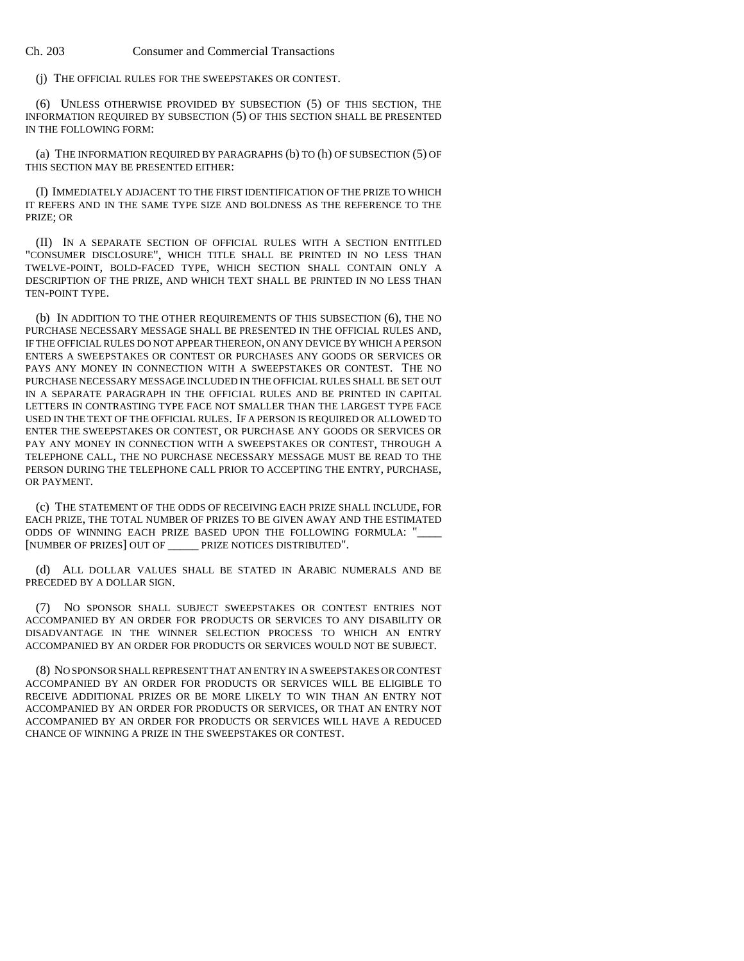(j) THE OFFICIAL RULES FOR THE SWEEPSTAKES OR CONTEST.

(6) UNLESS OTHERWISE PROVIDED BY SUBSECTION (5) OF THIS SECTION, THE INFORMATION REQUIRED BY SUBSECTION (5) OF THIS SECTION SHALL BE PRESENTED IN THE FOLLOWING FORM:

(a) THE INFORMATION REQUIRED BY PARAGRAPHS (b) TO (h) OF SUBSECTION (5) OF THIS SECTION MAY BE PRESENTED EITHER:

(I) IMMEDIATELY ADJACENT TO THE FIRST IDENTIFICATION OF THE PRIZE TO WHICH IT REFERS AND IN THE SAME TYPE SIZE AND BOLDNESS AS THE REFERENCE TO THE PRIZE; OR

(II) IN A SEPARATE SECTION OF OFFICIAL RULES WITH A SECTION ENTITLED "CONSUMER DISCLOSURE", WHICH TITLE SHALL BE PRINTED IN NO LESS THAN TWELVE-POINT, BOLD-FACED TYPE, WHICH SECTION SHALL CONTAIN ONLY A DESCRIPTION OF THE PRIZE, AND WHICH TEXT SHALL BE PRINTED IN NO LESS THAN TEN-POINT TYPE.

(b) IN ADDITION TO THE OTHER REQUIREMENTS OF THIS SUBSECTION (6), THE NO PURCHASE NECESSARY MESSAGE SHALL BE PRESENTED IN THE OFFICIAL RULES AND, IF THE OFFICIAL RULES DO NOT APPEAR THEREON, ON ANY DEVICE BY WHICH A PERSON ENTERS A SWEEPSTAKES OR CONTEST OR PURCHASES ANY GOODS OR SERVICES OR PAYS ANY MONEY IN CONNECTION WITH A SWEEPSTAKES OR CONTEST. THE NO PURCHASE NECESSARY MESSAGE INCLUDED IN THE OFFICIAL RULES SHALL BE SET OUT IN A SEPARATE PARAGRAPH IN THE OFFICIAL RULES AND BE PRINTED IN CAPITAL LETTERS IN CONTRASTING TYPE FACE NOT SMALLER THAN THE LARGEST TYPE FACE USED IN THE TEXT OF THE OFFICIAL RULES. IF A PERSON IS REQUIRED OR ALLOWED TO ENTER THE SWEEPSTAKES OR CONTEST, OR PURCHASE ANY GOODS OR SERVICES OR PAY ANY MONEY IN CONNECTION WITH A SWEEPSTAKES OR CONTEST, THROUGH A TELEPHONE CALL, THE NO PURCHASE NECESSARY MESSAGE MUST BE READ TO THE PERSON DURING THE TELEPHONE CALL PRIOR TO ACCEPTING THE ENTRY, PURCHASE, OR PAYMENT.

(c) THE STATEMENT OF THE ODDS OF RECEIVING EACH PRIZE SHALL INCLUDE, FOR EACH PRIZE, THE TOTAL NUMBER OF PRIZES TO BE GIVEN AWAY AND THE ESTIMATED ODDS OF WINNING EACH PRIZE BASED UPON THE FOLLOWING FORMULA: "\_ [NUMBER OF PRIZES] OUT OF \_\_\_\_\_ PRIZE NOTICES DISTRIBUTED".

(d) ALL DOLLAR VALUES SHALL BE STATED IN ARABIC NUMERALS AND BE PRECEDED BY A DOLLAR SIGN.

(7) NO SPONSOR SHALL SUBJECT SWEEPSTAKES OR CONTEST ENTRIES NOT ACCOMPANIED BY AN ORDER FOR PRODUCTS OR SERVICES TO ANY DISABILITY OR DISADVANTAGE IN THE WINNER SELECTION PROCESS TO WHICH AN ENTRY ACCOMPANIED BY AN ORDER FOR PRODUCTS OR SERVICES WOULD NOT BE SUBJECT.

(8) NO SPONSOR SHALL REPRESENT THAT AN ENTRY IN A SWEEPSTAKES OR CONTEST ACCOMPANIED BY AN ORDER FOR PRODUCTS OR SERVICES WILL BE ELIGIBLE TO RECEIVE ADDITIONAL PRIZES OR BE MORE LIKELY TO WIN THAN AN ENTRY NOT ACCOMPANIED BY AN ORDER FOR PRODUCTS OR SERVICES, OR THAT AN ENTRY NOT ACCOMPANIED BY AN ORDER FOR PRODUCTS OR SERVICES WILL HAVE A REDUCED CHANCE OF WINNING A PRIZE IN THE SWEEPSTAKES OR CONTEST.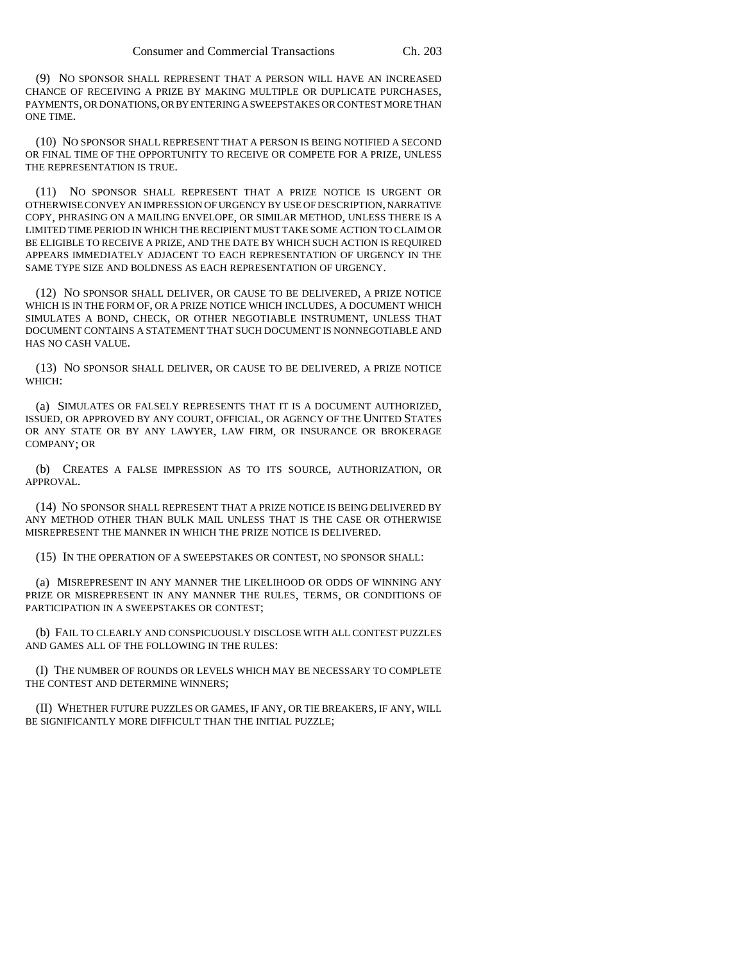(9) NO SPONSOR SHALL REPRESENT THAT A PERSON WILL HAVE AN INCREASED CHANCE OF RECEIVING A PRIZE BY MAKING MULTIPLE OR DUPLICATE PURCHASES, PAYMENTS, OR DONATIONS, OR BY ENTERING A SWEEPSTAKES OR CONTEST MORE THAN ONE TIME.

(10) NO SPONSOR SHALL REPRESENT THAT A PERSON IS BEING NOTIFIED A SECOND OR FINAL TIME OF THE OPPORTUNITY TO RECEIVE OR COMPETE FOR A PRIZE, UNLESS THE REPRESENTATION IS TRUE.

(11) NO SPONSOR SHALL REPRESENT THAT A PRIZE NOTICE IS URGENT OR OTHERWISE CONVEY AN IMPRESSION OF URGENCY BY USE OF DESCRIPTION, NARRATIVE COPY, PHRASING ON A MAILING ENVELOPE, OR SIMILAR METHOD, UNLESS THERE IS A LIMITED TIME PERIOD IN WHICH THE RECIPIENT MUST TAKE SOME ACTION TO CLAIM OR BE ELIGIBLE TO RECEIVE A PRIZE, AND THE DATE BY WHICH SUCH ACTION IS REQUIRED APPEARS IMMEDIATELY ADJACENT TO EACH REPRESENTATION OF URGENCY IN THE SAME TYPE SIZE AND BOLDNESS AS EACH REPRESENTATION OF URGENCY.

(12) NO SPONSOR SHALL DELIVER, OR CAUSE TO BE DELIVERED, A PRIZE NOTICE WHICH IS IN THE FORM OF, OR A PRIZE NOTICE WHICH INCLUDES, A DOCUMENT WHICH SIMULATES A BOND, CHECK, OR OTHER NEGOTIABLE INSTRUMENT, UNLESS THAT DOCUMENT CONTAINS A STATEMENT THAT SUCH DOCUMENT IS NONNEGOTIABLE AND HAS NO CASH VALUE.

(13) NO SPONSOR SHALL DELIVER, OR CAUSE TO BE DELIVERED, A PRIZE NOTICE WHICH:

(a) SIMULATES OR FALSELY REPRESENTS THAT IT IS A DOCUMENT AUTHORIZED, ISSUED, OR APPROVED BY ANY COURT, OFFICIAL, OR AGENCY OF THE UNITED STATES OR ANY STATE OR BY ANY LAWYER, LAW FIRM, OR INSURANCE OR BROKERAGE COMPANY; OR

(b) CREATES A FALSE IMPRESSION AS TO ITS SOURCE, AUTHORIZATION, OR APPROVAL.

(14) NO SPONSOR SHALL REPRESENT THAT A PRIZE NOTICE IS BEING DELIVERED BY ANY METHOD OTHER THAN BULK MAIL UNLESS THAT IS THE CASE OR OTHERWISE MISREPRESENT THE MANNER IN WHICH THE PRIZE NOTICE IS DELIVERED.

(15) IN THE OPERATION OF A SWEEPSTAKES OR CONTEST, NO SPONSOR SHALL:

(a) MISREPRESENT IN ANY MANNER THE LIKELIHOOD OR ODDS OF WINNING ANY PRIZE OR MISREPRESENT IN ANY MANNER THE RULES, TERMS, OR CONDITIONS OF PARTICIPATION IN A SWEEPSTAKES OR CONTEST;

(b) FAIL TO CLEARLY AND CONSPICUOUSLY DISCLOSE WITH ALL CONTEST PUZZLES AND GAMES ALL OF THE FOLLOWING IN THE RULES:

(I) THE NUMBER OF ROUNDS OR LEVELS WHICH MAY BE NECESSARY TO COMPLETE THE CONTEST AND DETERMINE WINNERS;

(II) WHETHER FUTURE PUZZLES OR GAMES, IF ANY, OR TIE BREAKERS, IF ANY, WILL BE SIGNIFICANTLY MORE DIFFICULT THAN THE INITIAL PUZZLE;